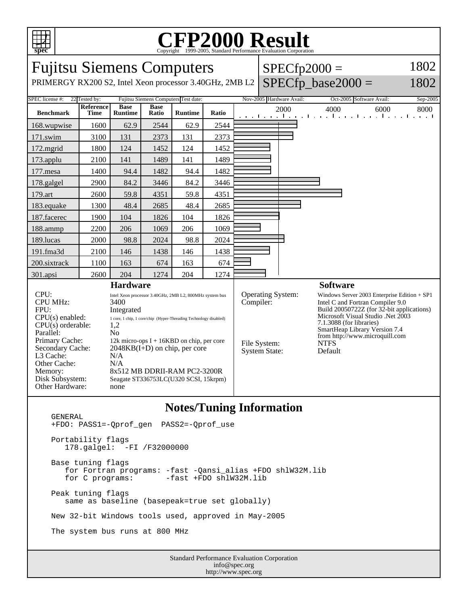

## C<sub>opyright</sub> ©1999-2005, Standard Performance Evaluation Corporation

| <b>Fujitsu Siemens Computers</b><br>PRIMERGY RX200 S2, Intel Xeon processor 3.40GHz, 2MB L2                                                                                                                                                                                                                                                                                                                                                                                                                                                                      |                                           |                               |                      |                |                                                                               |  |  |                                                                                                                                                                                                                                                                                               | $SPECfp2000 =$<br>$SPECfp\_base2000 =$                                                                  | 1802<br>1802     |
|------------------------------------------------------------------------------------------------------------------------------------------------------------------------------------------------------------------------------------------------------------------------------------------------------------------------------------------------------------------------------------------------------------------------------------------------------------------------------------------------------------------------------------------------------------------|-------------------------------------------|-------------------------------|----------------------|----------------|-------------------------------------------------------------------------------|--|--|-----------------------------------------------------------------------------------------------------------------------------------------------------------------------------------------------------------------------------------------------------------------------------------------------|---------------------------------------------------------------------------------------------------------|------------------|
| Fujitsu Siemens Computers Test date:                                                                                                                                                                                                                                                                                                                                                                                                                                                                                                                             |                                           |                               |                      |                |                                                                               |  |  |                                                                                                                                                                                                                                                                                               |                                                                                                         |                  |
| SPEC license #:<br><b>Benchmark</b>                                                                                                                                                                                                                                                                                                                                                                                                                                                                                                                              | 22 Tested by:<br>Reference<br><b>Time</b> | <b>Base</b><br><b>Runtime</b> | <b>Base</b><br>Ratio | <b>Runtime</b> | Ratio                                                                         |  |  | Nov-2005 Hardware Avail:<br>2000                                                                                                                                                                                                                                                              | Oct-2005 Software Avail:<br>4000<br>6000<br>التواصل والتواط والتواص والتواطئ والتواصل والتواطئ والتواطئ | Sep-2005<br>8000 |
| 168.wupwise                                                                                                                                                                                                                                                                                                                                                                                                                                                                                                                                                      | 1600                                      | 62.9                          | 2544                 | 62.9           | 2544                                                                          |  |  |                                                                                                                                                                                                                                                                                               |                                                                                                         |                  |
| 171.swim                                                                                                                                                                                                                                                                                                                                                                                                                                                                                                                                                         | 3100                                      | 131                           | 2373                 | 131            | 2373                                                                          |  |  |                                                                                                                                                                                                                                                                                               |                                                                                                         |                  |
| 172.mgrid                                                                                                                                                                                                                                                                                                                                                                                                                                                                                                                                                        | 1800                                      | 124                           | 1452                 | 124            | 1452                                                                          |  |  |                                                                                                                                                                                                                                                                                               |                                                                                                         |                  |
| 173.applu                                                                                                                                                                                                                                                                                                                                                                                                                                                                                                                                                        | 2100                                      | 141                           | 1489                 | 141            | 1489                                                                          |  |  |                                                                                                                                                                                                                                                                                               |                                                                                                         |                  |
| 177.mesa                                                                                                                                                                                                                                                                                                                                                                                                                                                                                                                                                         | 1400                                      | 94.4                          | 1482                 | 94.4           | 1482                                                                          |  |  |                                                                                                                                                                                                                                                                                               |                                                                                                         |                  |
| 178.galgel                                                                                                                                                                                                                                                                                                                                                                                                                                                                                                                                                       | 2900                                      | 84.2                          | 3446                 | 84.2           | 3446                                                                          |  |  |                                                                                                                                                                                                                                                                                               |                                                                                                         |                  |
| 179.art                                                                                                                                                                                                                                                                                                                                                                                                                                                                                                                                                          | 2600                                      | 59.8                          | 4351                 | 59.8           | 4351                                                                          |  |  |                                                                                                                                                                                                                                                                                               |                                                                                                         |                  |
| 183.equake                                                                                                                                                                                                                                                                                                                                                                                                                                                                                                                                                       | 1300                                      | 48.4                          | 2685                 | 48.4           | 2685                                                                          |  |  |                                                                                                                                                                                                                                                                                               |                                                                                                         |                  |
| 187.facerec                                                                                                                                                                                                                                                                                                                                                                                                                                                                                                                                                      | 1900                                      | 104                           | 1826                 | 104            | 1826                                                                          |  |  |                                                                                                                                                                                                                                                                                               |                                                                                                         |                  |
| 188.ammp                                                                                                                                                                                                                                                                                                                                                                                                                                                                                                                                                         | 2200                                      | 206                           | 1069                 | 206            | 1069                                                                          |  |  |                                                                                                                                                                                                                                                                                               |                                                                                                         |                  |
| 189.lucas                                                                                                                                                                                                                                                                                                                                                                                                                                                                                                                                                        | 2000                                      | 98.8                          | 2024                 | 98.8           | 2024                                                                          |  |  |                                                                                                                                                                                                                                                                                               |                                                                                                         |                  |
| 191.fma3d                                                                                                                                                                                                                                                                                                                                                                                                                                                                                                                                                        | 2100                                      | 146                           | 1438                 | 146            | 1438                                                                          |  |  |                                                                                                                                                                                                                                                                                               |                                                                                                         |                  |
| 200.sixtrack                                                                                                                                                                                                                                                                                                                                                                                                                                                                                                                                                     | 1100                                      | 163                           | 674                  | 163            | 674                                                                           |  |  |                                                                                                                                                                                                                                                                                               |                                                                                                         |                  |
| 301.apsi                                                                                                                                                                                                                                                                                                                                                                                                                                                                                                                                                         | 2600                                      | 204                           | 1274                 | 204            | 1274                                                                          |  |  |                                                                                                                                                                                                                                                                                               |                                                                                                         |                  |
| <b>Hardware</b>                                                                                                                                                                                                                                                                                                                                                                                                                                                                                                                                                  |                                           |                               |                      |                |                                                                               |  |  |                                                                                                                                                                                                                                                                                               | <b>Software</b>                                                                                         |                  |
| CPU:<br>Intel Xeon processor 3.40GHz, 2MB L2, 800MHz system bus<br><b>CPU MHz:</b><br>3400<br>FPU:<br>Integrated<br>$CPU(s)$ enabled:<br>1 core, 1 chip, 1 core/chip (Hyper-Threading Technology disabled)<br>$CPU(s)$ orderable:<br>1,2<br>Parallel:<br>No<br>Primary Cache:<br>12k micro-ops $I + 16KBD$ on chip, per core<br>Secondary Cache:<br>$2048KB(I+D)$ on chip, per core<br>L3 Cache:<br>N/A<br>Other Cache:<br>N/A<br>8x512 MB DDRII-RAM PC2-3200R<br>Memory:<br>Disk Subsystem:<br>Seagate ST336753LC(U320 SCSI, 15krpm)<br>Other Hardware:<br>none |                                           |                               |                      |                | <b>Operating System:</b><br>Compiler:<br>File System:<br><b>System State:</b> |  |  | Windows Server 2003 Enterprise Edition $+$ SP1<br>Intel C and Fortran Compiler 9.0<br>Build 20050722Z (for 32-bit applications)<br>Microsoft Visual Studio .Net 2003<br>7.1.3088 (for libraries)<br>SmartHeap Library Version 7.4<br>from http://www.microquill.com<br><b>NTFS</b><br>Default |                                                                                                         |                  |

## **Notes/Tuning Information**

 GENERAL +FDO: PASS1=-Qprof\_gen PASS2=-Qprof\_use Portability flags 178.galgel: -FI /F32000000 Base tuning flags for Fortran programs: -fast -Qansi\_alias +FDO shlW32M.lib  $-fast$  +FDO shlW32M.lib Peak tuning flags same as baseline (basepeak=true set globally) New 32-bit Windows tools used, approved in May-2005 The system bus runs at 800 MHz

Standard Performance Evaluation Corporation info@spec.org http://www.spec.org